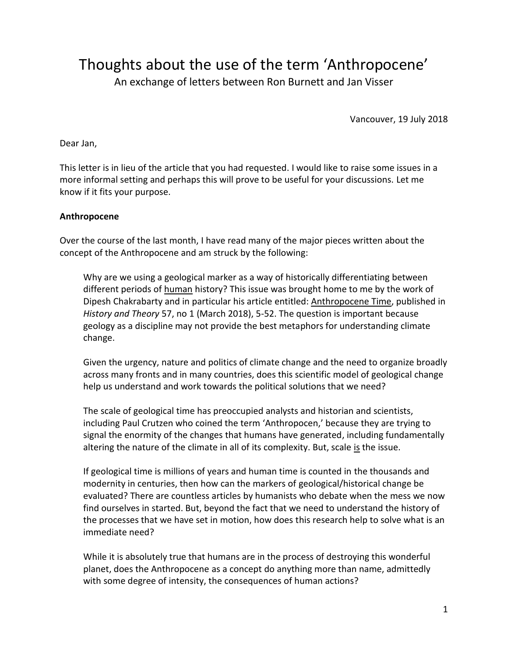Thoughts about the use of the term 'Anthropocene' An exchange of letters between Ron Burnett and Jan Visser

Vancouver, 19 July 2018

Dear Jan,

This letter is in lieu of the article that you had requested. I would like to raise some issues in a more informal setting and perhaps this will prove to be useful for your discussions. Let me know if it fits your purpose.

## **Anthropocene**

Over the course of the last month, I have read many of the major pieces written about the concept of the Anthropocene and am struck by the following:

Why are we using a geological marker as a way of historically differentiating between different periods of human history? This issue was brought home to me by the work of Dipesh Chakrabarty and in particular his article entitled: Anthropocene Time, published in *History and Theory* 57, no 1 (March 2018), 5-52. The question is important because geology as a discipline may not provide the best metaphors for understanding climate change.

Given the urgency, nature and politics of climate change and the need to organize broadly across many fronts and in many countries, does this scientific model of geological change help us understand and work towards the political solutions that we need?

The scale of geological time has preoccupied analysts and historian and scientists, including Paul Crutzen who coined the term 'Anthropocen,' because they are trying to signal the enormity of the changes that humans have generated, including fundamentally altering the nature of the climate in all of its complexity. But, scale is the issue.

If geological time is millions of years and human time is counted in the thousands and modernity in centuries, then how can the markers of geological/historical change be evaluated? There are countless articles by humanists who debate when the mess we now find ourselves in started. But, beyond the fact that we need to understand the history of the processes that we have set in motion, how does this research help to solve what is an immediate need?

While it is absolutely true that humans are in the process of destroying this wonderful planet, does the Anthropocene as a concept do anything more than name, admittedly with some degree of intensity, the consequences of human actions?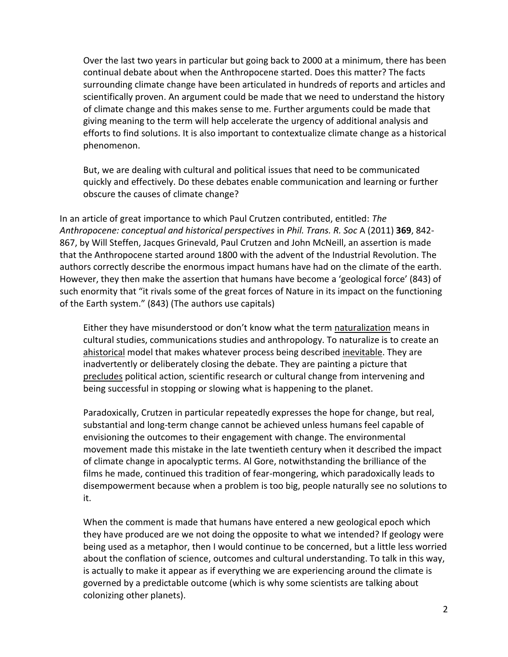Over the last two years in particular but going back to 2000 at a minimum, there has been continual debate about when the Anthropocene started. Does this matter? The facts surrounding climate change have been articulated in hundreds of reports and articles and scientifically proven. An argument could be made that we need to understand the history of climate change and this makes sense to me. Further arguments could be made that giving meaning to the term will help accelerate the urgency of additional analysis and efforts to find solutions. It is also important to contextualize climate change as a historical phenomenon.

But, we are dealing with cultural and political issues that need to be communicated quickly and effectively. Do these debates enable communication and learning or further obscure the causes of climate change?

In an article of great importance to which Paul Crutzen contributed, entitled: *The Anthropocene: conceptual and historical perspectives* in *Phil. Trans. R. Soc* A (2011) **369**, 842- 867, by Will Steffen, Jacques Grinevald, Paul Crutzen and John McNeill, an assertion is made that the Anthropocene started around 1800 with the advent of the Industrial Revolution. The authors correctly describe the enormous impact humans have had on the climate of the earth. However, they then make the assertion that humans have become a 'geological force' (843) of such enormity that "it rivals some of the great forces of Nature in its impact on the functioning of the Earth system." (843) (The authors use capitals)

Either they have misunderstood or don't know what the term naturalization means in cultural studies, communications studies and anthropology. To naturalize is to create an ahistorical model that makes whatever process being described inevitable. They are inadvertently or deliberately closing the debate. They are painting a picture that precludes political action, scientific research or cultural change from intervening and being successful in stopping or slowing what is happening to the planet.

Paradoxically, Crutzen in particular repeatedly expresses the hope for change, but real, substantial and long-term change cannot be achieved unless humans feel capable of envisioning the outcomes to their engagement with change. The environmental movement made this mistake in the late twentieth century when it described the impact of climate change in apocalyptic terms. Al Gore, notwithstanding the brilliance of the films he made, continued this tradition of fear-mongering, which paradoxically leads to disempowerment because when a problem is too big, people naturally see no solutions to it.

When the comment is made that humans have entered a new geological epoch which they have produced are we not doing the opposite to what we intended? If geology were being used as a metaphor, then I would continue to be concerned, but a little less worried about the conflation of science, outcomes and cultural understanding. To talk in this way, is actually to make it appear as if everything we are experiencing around the climate is governed by a predictable outcome (which is why some scientists are talking about colonizing other planets).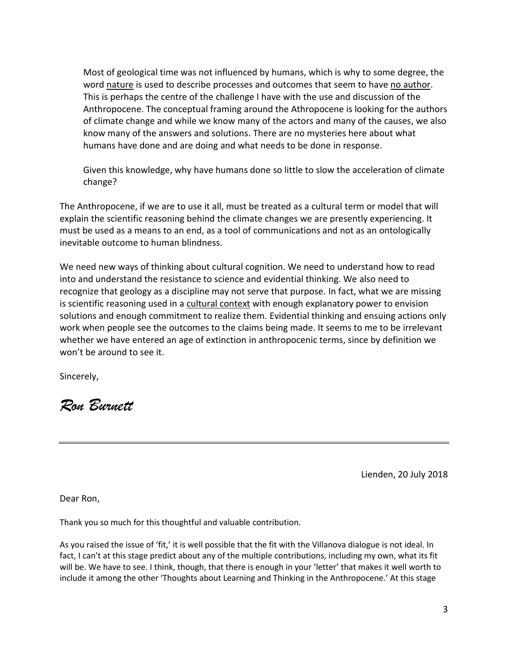Most of geological time was not influenced by humans, which is why to some degree, the word nature is used to describe processes and outcomes that seem to have no author. This is perhaps the centre of the challenge I have with the use and discussion of the Anthropocene. The conceptual framing around the Athropocene is looking for the authors of climate change and while we know many of the actors and many of the causes, we also know many of the answers and solutions. There are no mysteries here about what humans have done and are doing and what needs to be done in response.

Given this knowledge, why have humans done so little to slow the acceleration of climate change?

The Anthropocene, if we are to use it all, must be treated as a cultural term or model that will explain the scientific reasoning behind the climate changes we are presently experiencing. It must be used as a means to an end, as a tool of communications and not as an ontologically inevitable outcome to human blindness.

We need new ways of thinking about cultural cognition. We need to understand how to read into and understand the resistance to science and evidential thinking. We also need to recognize that geology as a discipline may not serve that purpose. In fact, what we are missing is scientific reasoning used in a cultural context with enough explanatory power to envision solutions and enough commitment to realize them. Evidential thinking and ensuing actions only work when people see the outcomes to the claims being made. It seems to me to be irrelevant whether we have entered an age of extinction in anthropocenic terms, since by definition we won't be around to see it.

Sincerely,

*Ron Burnett*

Lienden, 20 July 2018

Dear Ron,

Thank you so much for this thoughtful and valuable contribution.

As you raised the issue of 'fit,' it is well possible that the fit with the Villanova dialogue is not ideal. In fact, I can't at this stage predict about any of the multiple contributions, including my own, what its fit will be. We have to see. I think, though, that there is enough in your 'letter' that makes it well worth to include it among the other 'Thoughts about Learning and Thinking in the Anthropocene.' At this stage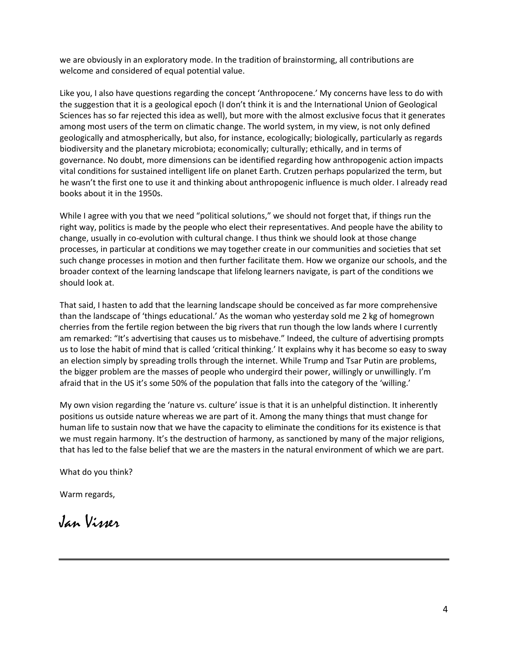we are obviously in an exploratory mode. In the tradition of brainstorming, all contributions are welcome and considered of equal potential value.

Like you, I also have questions regarding the concept 'Anthropocene.' My concerns have less to do with the suggestion that it is a geological epoch (I don't think it is and the International Union of Geological Sciences has so far rejected this idea as well), but more with the almost exclusive focus that it generates among most users of the term on climatic change. The world system, in my view, is not only defined geologically and atmospherically, but also, for instance, ecologically; biologically, particularly as regards biodiversity and the planetary microbiota; economically; culturally; ethically, and in terms of governance. No doubt, more dimensions can be identified regarding how anthropogenic action impacts vital conditions for sustained intelligent life on planet Earth. Crutzen perhaps popularized the term, but he wasn't the first one to use it and thinking about anthropogenic influence is much older. I already read books about it in the 1950s.

While I agree with you that we need "political solutions," we should not forget that, if things run the right way, politics is made by the people who elect their representatives. And people have the ability to change, usually in co-evolution with cultural change. I thus think we should look at those change processes, in particular at conditions we may together create in our communities and societies that set such change processes in motion and then further facilitate them. How we organize our schools, and the broader context of the learning landscape that lifelong learners navigate, is part of the conditions we should look at.

That said, I hasten to add that the learning landscape should be conceived as far more comprehensive than the landscape of 'things educational.' As the woman who yesterday sold me 2 kg of homegrown cherries from the fertile region between the big rivers that run though the low lands where I currently am remarked: "It's advertising that causes us to misbehave." Indeed, the culture of advertising prompts us to lose the habit of mind that is called 'critical thinking.' It explains why it has become so easy to sway an election simply by spreading trolls through the internet. While Trump and Tsar Putin are problems, the bigger problem are the masses of people who undergird their power, willingly or unwillingly. I'm afraid that in the US it's some 50% of the population that falls into the category of the 'willing.'

My own vision regarding the 'nature vs. culture' issue is that it is an unhelpful distinction. It inherently positions us outside nature whereas we are part of it. Among the many things that must change for human life to sustain now that we have the capacity to eliminate the conditions for its existence is that we must regain harmony. It's the destruction of harmony, as sanctioned by many of the major religions, that has led to the false belief that we are the masters in the natural environment of which we are part.

What do you think?

Warm regards,

Jan Visser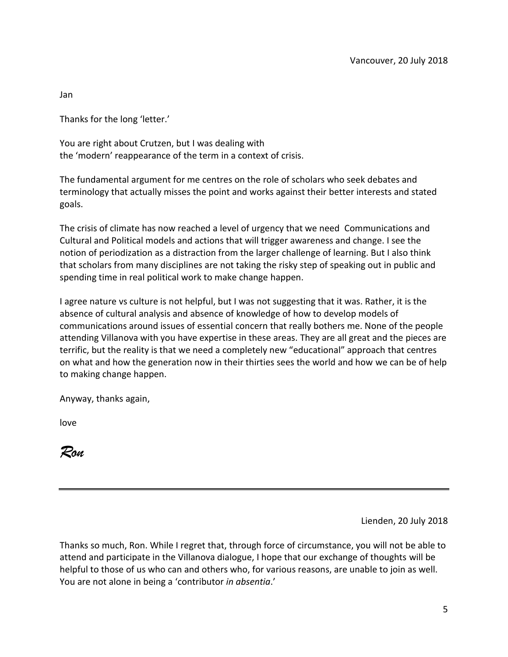Jan

Thanks for the long 'letter.'

You are right about Crutzen, but I was dealing with the 'modern' reappearance of the term in a context of crisis.

The fundamental argument for me centres on the role of scholars who seek debates and terminology that actually misses the point and works against their better interests and stated goals.

The crisis of climate has now reached a level of urgency that we need Communications and Cultural and Political models and actions that will trigger awareness and change. I see the notion of periodization as a distraction from the larger challenge of learning. But I also think that scholars from many disciplines are not taking the risky step of speaking out in public and spending time in real political work to make change happen.

I agree nature vs culture is not helpful, but I was not suggesting that it was. Rather, it is the absence of cultural analysis and absence of knowledge of how to develop models of communications around issues of essential concern that really bothers me. None of the people attending Villanova with you have expertise in these areas. They are all great and the pieces are terrific, but the reality is that we need a completely new "educational" approach that centres on what and how the generation now in their thirties sees the world and how we can be of help to making change happen.

Anyway, thanks again,

love

*Ron*

Lienden, 20 July 2018

Thanks so much, Ron. While I regret that, through force of circumstance, you will not be able to attend and participate in the Villanova dialogue, I hope that our exchange of thoughts will be helpful to those of us who can and others who, for various reasons, are unable to join as well. You are not alone in being a 'contributor *in absentia*.'